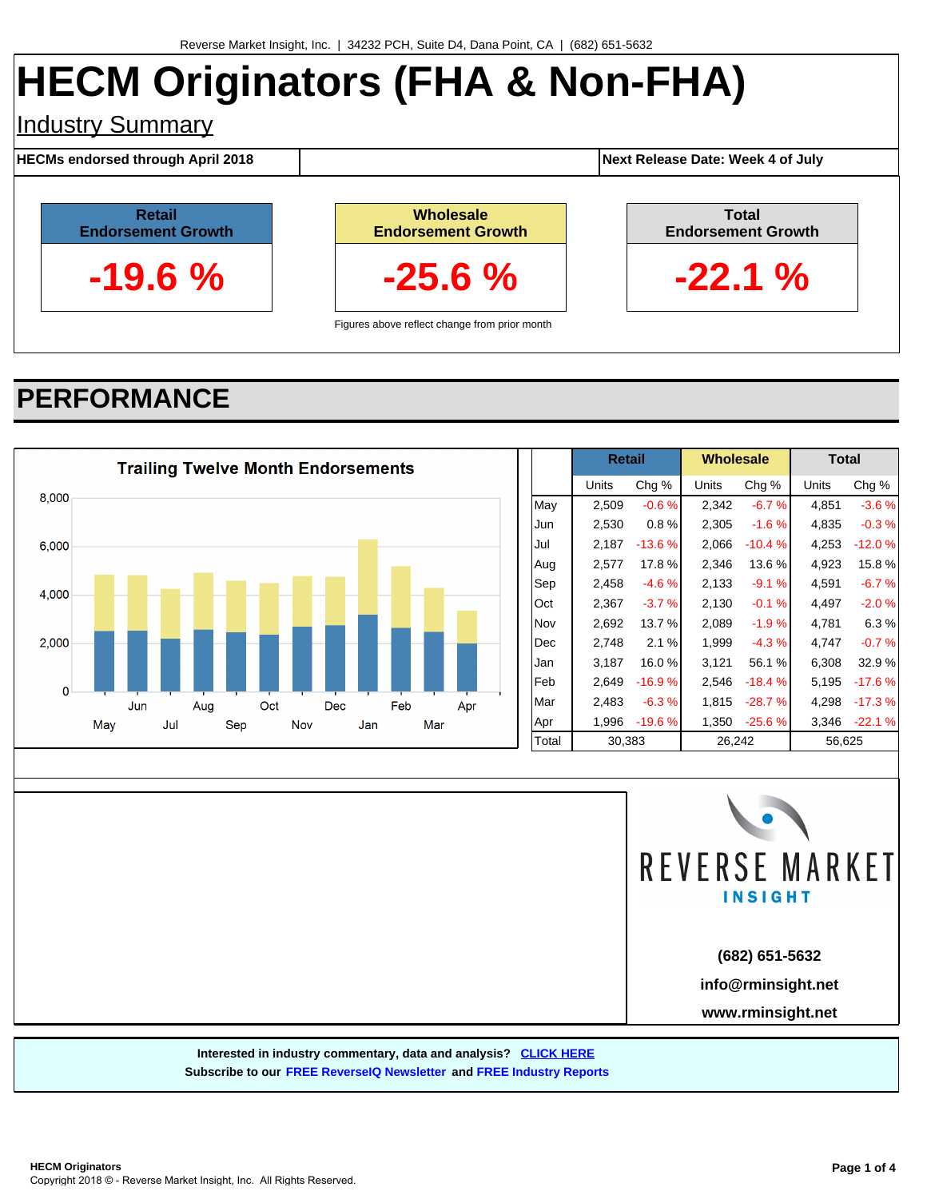# **HECM Originators (FHA & Non-FHA)**

## Industry Summary

**HECMs endorsed through April 2018 Next Release Date: Week 4 of July**

**Total Endorsement Growth**

**-22.1 %**



**Wholesale Endorsement Growth -25.6 %**

Figures above reflect change from prior month

# **PERFORMANCE**





**(682) 651-5632**

**info@rminsight.net**

**www.rminsight.net**

**Interested in industry commentary, data and analysis? [CLICK HERE](http://www.rminsight.net/signup.php)**

**Subscribe to our [FREE ReverseIQ Newsletter](http://www.rminsight.net/signup.php) and [FREE Industry Reports](http://www.rminsight.net/signup.php)**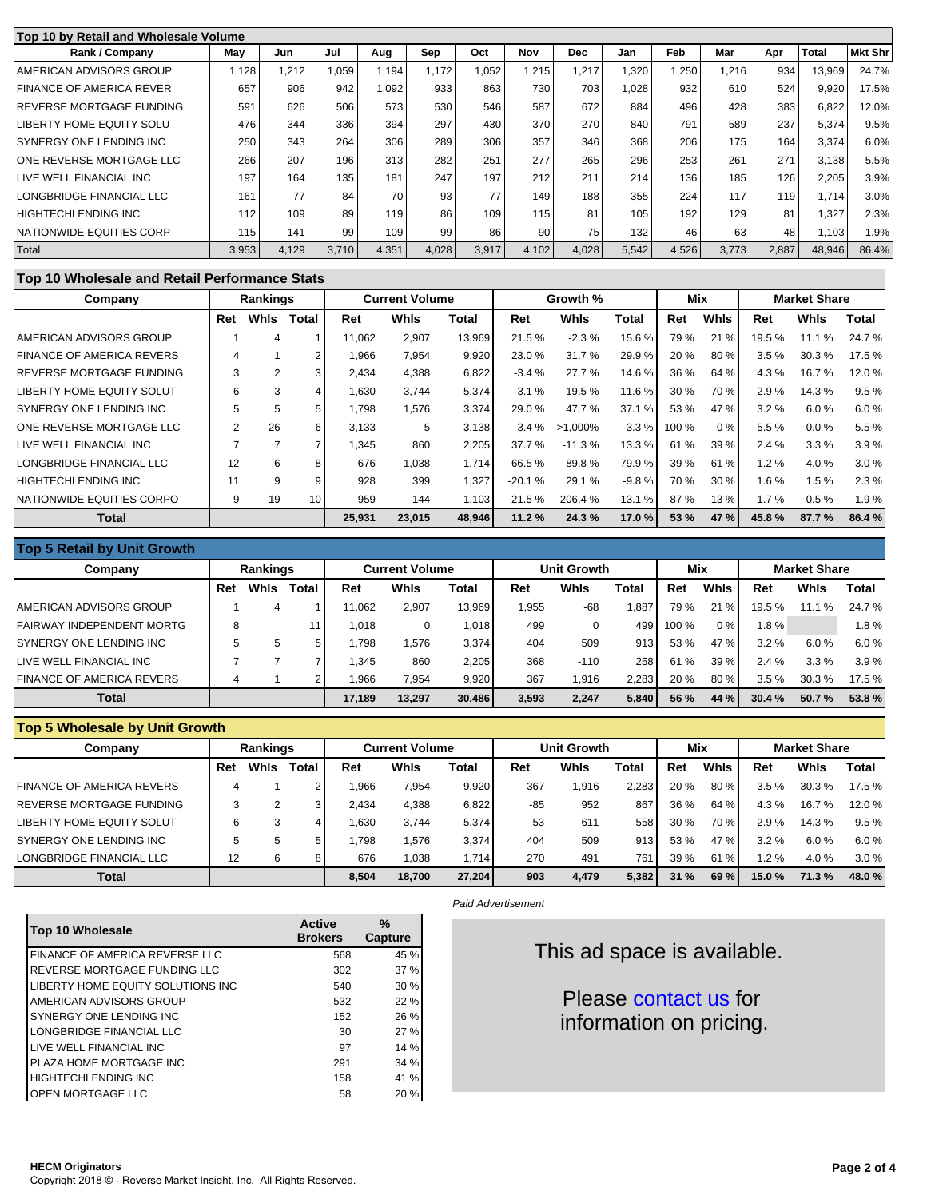| Top 10 by Retail and Wholesale Volume |       |       |       |       |       |       |       |            |       |            |       |       |        |                |
|---------------------------------------|-------|-------|-------|-------|-------|-------|-------|------------|-------|------------|-------|-------|--------|----------------|
| Rank / Company                        | May   | Jun   | Jul   | Aug   | Sep   | Oct   | Nov   | <b>Dec</b> | Jan   | <b>Feb</b> | Mar   | Apr   | Total  | <b>Mkt Shr</b> |
| I AMERICAN ADVISORS GROUP             | ,128  | 1,212 | 1.059 | 1.194 | 1.172 | 1,052 | 1,215 | 1,217      | 1,320 | ,250       | 1,216 | 934   | 13,969 | 24.7%          |
| FINANCE OF AMERICA REVER              | 657   | 906   | 942   | 1.092 | 933   | 863   | 730   | 703        | 1.028 | 932        | 610   | 524   | 9,920  | 17.5%          |
| <b>IREVERSE MORTGAGE FUNDING</b>      | 591   | 626   | 506   | 573   | 530   | 546   | 587   | 672        | 884   | 496        | 428   | 383   | 6,822  | 12.0%          |
| LIBERTY HOME EQUITY SOLU              | 476   | 344   | 336   | 394   | 297   | 430   | 370   | 270        | 840   | 791        | 589   | 237   | 5,374  | 9.5%           |
| ISYNERGY ONE LENDING INC              | 250   | 343   | 264   | 306   | 289   | 306   | 357   | 346        | 368   | 206        | 175   | 164   | 3,374  | 6.0%           |
| ONE REVERSE MORTGAGE LLC              | 266   | 207   | 196   | 313   | 282   | 251   | 277   | 265        | 296   | 253        | 261   | 271   | 3.138  | 5.5%           |
| LIVE WELL FINANCIAL INC               | 197   | 164   | 135   | 181   | 247   | 197   | 212   | 211        | 214   | 136        | 185   | 126   | 2,205  | 3.9%           |
| LONGBRIDGE FINANCIAL LLC              | 161   | 77    | 84    | 70    | 93    | 77    | 149   | 188        | 355   | 224        | 117   | 119   | 1.714  | 3.0%           |
| HIGHTECHLENDING INC                   | 112   | 109   | 89    | 119   | 86    | 109   | 115   | 81         | 105   | 192        | 129   | 81    | 1.327  | 2.3%           |
| <b>INATIONWIDE EQUITIES CORP</b>      | 115   | 141   | 99    | 109   | 99    | 86    | 90    | 75         | 132   | 46         | 63    | 48    | 1,103  | 1.9%           |
| Total                                 | 3,953 | 4,129 | 3,710 | 4,351 | 4,028 | 3,917 | 4,102 | 4,028      | 5,542 | 4,526      | 3,773 | 2,887 | 48,946 | 86.4%          |

#### **Top 10 Wholesale and Retail Performance Stats**

| Company                           |     | <b>Rankings</b> |                 |        | <b>Current Volume</b> |        |          | Growth %    |          | Mix   |        | <b>Market Share</b> |          |        |
|-----------------------------------|-----|-----------------|-----------------|--------|-----------------------|--------|----------|-------------|----------|-------|--------|---------------------|----------|--------|
|                                   | Ret | Whis            | Total           | Ret    | <b>Whis</b>           | Total  | Ret      | <b>Whis</b> | Total    | Ret   | Whis   | Ret                 | Whis     | Total  |
| I AMERICAN ADVISORS GROUP         |     | 4               |                 | 11.062 | 2,907                 | 13.969 | 21.5%    | $-2.3%$     | 15.6 %   | 79 %  | 21 %   | 19.5 %              | 11.1 %   | 24.7%  |
| <b>FINANCE OF AMERICA REVERS</b>  |     |                 |                 | 1,966  | 7,954                 | 9,920  | 23.0%    | 31.7%       | 29.9 %   | 20 %  | 80 %   | 3.5%                | 30.3%    | 17.5 % |
| <b>IREVERSE MORTGAGE FUNDING</b>  | 3   | $\overline{2}$  | 3               | 2,434  | 4,388                 | 6,822  | $-3.4%$  | 27.7%       | 14.6 %   | 36 %  | 64 %   | 4.3%                | 16.7%    | 12.0%  |
| <b>LIBERTY HOME EQUITY SOLUT</b>  | 6   | 3               | 4               | 1.630  | 3,744                 | 5,374  | $-3.1%$  | 19.5 %      | 11.6 %   | 30 %  | 70 %   | 2.9%                | 14.3 %   | 9.5%   |
| <b>ISYNERGY ONE LENDING INC</b>   | 5   | 5               | 5               | 1.798  | 1,576                 | 3,374  | 29.0 %   | 47.7%       | 37.1 %   | 53 %  | 47 %   | 3.2%                | 6.0%     | 6.0%   |
| IONE REVERSE MORTGAGE LLC         |     | 26              | 6               | 3.133  | 5                     | 3.138  | $-3.4%$  | $>1.000\%$  | $-3.3%$  | 100 % | 0%     | 5.5%                | $0.0 \%$ | 5.5%   |
| LIVE WELL FINANCIAL INC           |     | 7               |                 | 1.345  | 860                   | 2.205  | 37.7 %   | $-11.3%$    | 13.3 %   | 61 %  | 39 %   | 2.4%                | 3.3%     | 3.9%   |
| LONGBRIDGE FINANCIAL LLC          | 12  | 6               | 8               | 676    | 1,038                 | 1.714  | 66.5%    | 89.8%       | 79.9%    | 39 %  | 61 %   | 1.2%                | 4.0%     | 3.0%   |
| <b>HIGHTECHLENDING INC</b>        | 11  | 9               | 9               | 928    | 399                   | 1,327  | $-20.1%$ | 29.1 %      | $-9.8%$  | 70 %  | 30%    | 1.6%                | 1.5%     | 2.3%   |
| <b>INATIONWIDE EQUITIES CORPO</b> | 9   | 19              | 10 <sup>1</sup> | 959    | 144                   | 1.103  | $-21.5%$ | 206.4%      | $-13.1%$ | 87 %  | 13%    | 1.7%                | 0.5%     | 1.9%   |
| <b>Total</b>                      |     | 25.931          | 23.015          | 48.946 | 11.2%                 | 24.3%  | 17.0%    | 53 %        | 47%      | 45.8% | 87.7 % | 86.4%               |          |        |

| <b>Top 5 Retail by Unit Growth</b> |                 |      |       |                       |             |        |       |                    |       |            |             |                     |         |        |  |
|------------------------------------|-----------------|------|-------|-----------------------|-------------|--------|-------|--------------------|-------|------------|-------------|---------------------|---------|--------|--|
| Company                            | <b>Rankings</b> |      |       | <b>Current Volume</b> |             |        |       | <b>Unit Growth</b> |       | <b>Mix</b> |             | <b>Market Share</b> |         |        |  |
|                                    | Ret             | Whis | Total | Ret                   | <b>Whis</b> | Total  | Ret   | <b>Whis</b>        | Total | Ret        | <b>Whis</b> | Ret                 | Whis    | Total  |  |
| AMERICAN ADVISORS GROUP            |                 | 4    |       | 1.062                 | 2.907       | 13.969 | .955  | $-68$              | .887  | 79 %       | 21%         | 19.5 %              | 11.1%   | 24.7%  |  |
| FAIRWAY INDEPENDENT MORTG          | 8               |      |       | 1,018                 | 0           | 1.018  | 499   |                    | 499   | 100 %      | 0%          | 1.8%                |         | 1.8%   |  |
| SYNERGY ONE LENDING INC            |                 | 5    | 5     | 1.798                 | .576        | 3.374  | 404   | 509                | 913   | 53 %       | 47 %        | 3.2%                | 6.0%    | 6.0%   |  |
| LIVE WELL FINANCIAL INC            |                 |      |       | .345                  | 860         | 2.205  | 368   | $-110$             | 258   | %<br>61    | 39 %        | 2.4%                | $3.3\%$ | 3.9%   |  |
| <b>FINANCE OF AMERICA REVERS</b>   | 4               |      |       | 1.966                 | 7.954       | 9.920  | 367   | 1.916              | 2.283 | 20 %       | 80%         | 3.5%                | 30.3 %  | 17.5 % |  |
| <b>Total</b>                       |                 |      |       | 17.189                | 13.297      | 30,486 | 3,593 | 2.247              | 5.840 | 56 %       | 44 %        | 30.4%               | 50.7%   | 53.8%  |  |

#### **Top 5 Wholesale by Unit Growth**

| <b>Rankings</b><br>Company       |     |      |       |       | <b>Current Volume</b> |        |       | <b>Unit Growth</b> |       |      | Mix         | <b>Market Share</b> |             |        |  |
|----------------------------------|-----|------|-------|-------|-----------------------|--------|-------|--------------------|-------|------|-------------|---------------------|-------------|--------|--|
|                                  | Ret | Whis | Total | Ret   | Whis                  | Total  | Ret   | Whis               | Total | Ret  | <b>Whis</b> | Ret                 | <b>Whis</b> | Total  |  |
| <b>FINANCE OF AMERICA REVERS</b> | 4   |      |       | .966  | 7,954                 | 9,920  | 367   | <b>1.916</b>       | 2,283 | 20 % | 80 %        | 3.5%                | 30.3%       | 17.5 % |  |
| <b>REVERSE MORTGAGE FUNDING</b>  |     |      |       | 2.434 | 4,388                 | 6.822  | -85   | 952                | 867   | 36 % | 64 %        | 4.3%                | 16.7%       | 12.0 % |  |
| LIBERTY HOME EQUITY SOLUT        | 6   | 3    |       | .630  | 3,744                 | 5,374  | $-53$ | 611                | 558   | 30%  | 70 %        | 2.9%                | 14.3 %      | 9.5%   |  |
| SYNERGY ONE LENDING INC          | 5   | 5    | 5     | .798  | .576                  | 3.374  | 404   | 509                | 913   | 53 % | 47 %        | 3.2%                | 6.0%        | 6.0%   |  |
| LONGBRIDGE FINANCIAL LLC         | 12  | 6    |       | 676   | .038                  | 1.714  | 270   | 491                | 761   | 39%  | 61%         | 1.2%                | 4.0%        | 3.0%   |  |
| <b>Total</b>                     |     |      |       | 8.504 | 18.700                | 27.204 | 903   | 4,479              | 5.382 | 31%  | 69 %        | 15.0%               | 71.3%       | 48.0%  |  |

| Top 10 Wholesale                  | <b>Active</b><br><b>Brokers</b> | %<br>Capture |
|-----------------------------------|---------------------------------|--------------|
| FINANCE OF AMERICA REVERSE LLC    | 568                             | 45 %         |
| REVERSE MORTGAGE FUNDING LLC      | 302                             | 37 %         |
| LIBERTY HOME EQUITY SOLUTIONS INC | 540                             | 30%          |
| AMERICAN ADVISORS GROUP           | 532                             | 22 %         |
| SYNERGY ONE LENDING INC.          | 152                             | 26 %         |
| LONGBRIDGE FINANCIAL LLC          | 30                              | 27%          |
| LIVE WELL FINANCIAL INC           | 97                              | 14%          |
| PLAZA HOME MORTGAGE INC           | 291                             | 34 %         |
| <b>HIGHTECHLENDING INC</b>        | 158                             | 41 %         |
| <b>OPEN MORTGAGE LLC</b>          | 58                              | 20 %         |

#### Paid Advertisement

This ad space is available.

Please [contact us](http://rminsight.net/contact) for information on pricing.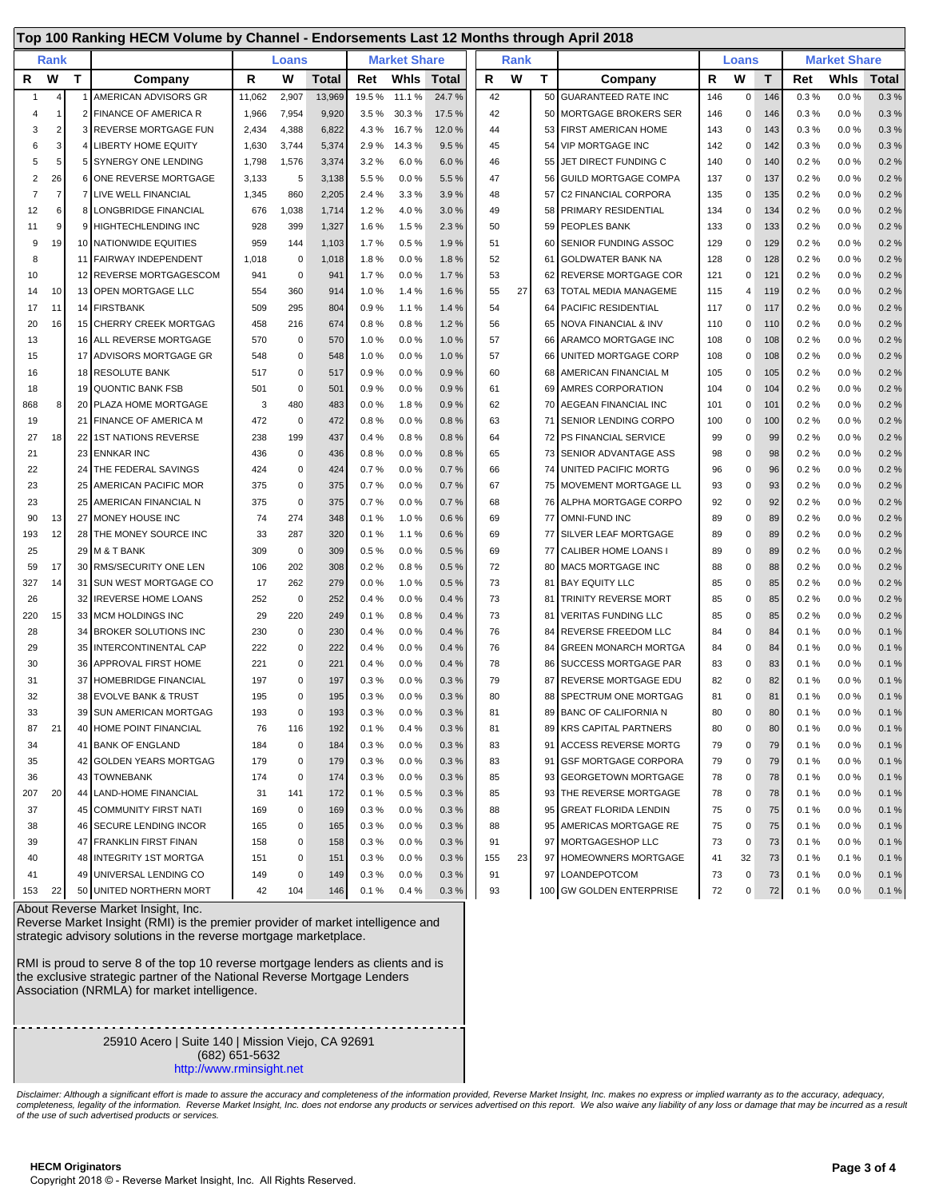|              |                |                 | Top 100 Ranking HECM Volume by Channel - Endorsements Last 12 Months through April 2018 |        |             |              |       |                     |        |     |             |    |                               |     |              |     |                     |          |       |  |
|--------------|----------------|-----------------|-----------------------------------------------------------------------------------------|--------|-------------|--------------|-------|---------------------|--------|-----|-------------|----|-------------------------------|-----|--------------|-----|---------------------|----------|-------|--|
|              | Rank           |                 |                                                                                         |        | Loans       |              |       | <b>Market Share</b> |        |     | <b>Rank</b> |    |                               |     | <b>Loans</b> |     | <b>Market Share</b> |          |       |  |
| R            | W              | T               | Company                                                                                 | R      | W           | <b>Total</b> | Ret   | Whis                | Total  | R   | W           | T. | Company                       | R   | W            | T   | Ret                 | Whis     | Total |  |
| $\mathbf{1}$ | 4              |                 | AMERICAN ADVISORS GR                                                                    | 11,062 | 2,907       | 13,969       | 19.5% | 11.1%               | 24.7%  | 42  |             | 50 | <b>GUARANTEED RATE INC</b>    | 146 | $\mathbf 0$  | 146 | 0.3%                | 0.0%     | 0.3%  |  |
| 4            | 1              |                 | 2 FINANCE OF AMERICA R                                                                  | 1,966  | 7,954       | 9,920        | 3.5%  | 30.3%               | 17.5 % | 42  |             |    | 50 MORTGAGE BROKERS SER       | 146 | $\Omega$     | 146 | 0.3%                | $0.0 \%$ | 0.3%  |  |
| 3            | $\overline{2}$ |                 | 3 REVERSE MORTGAGE FUN                                                                  | 2,434  | 4,388       | 6,822        | 4.3%  | 16.7%               | 12.0%  | 44  |             |    | 53 FIRST AMERICAN HOME        | 143 | 0            | 143 | 0.3%                | 0.0 %    | 0.3%  |  |
| 6            | 3              |                 | 4 LIBERTY HOME EQUITY                                                                   | 1,630  | 3,744       | 5,374        | 2.9%  | 14.3%               | 9.5%   | 45  |             |    | 54 VIP MORTGAGE INC           | 142 | 0            | 142 | 0.3%                | 0.0 %    | 0.3%  |  |
| 5            | 5              |                 | 5 SYNERGY ONE LENDING                                                                   | 1,798  | 1,576       | 3,374        | 3.2%  | 6.0%                | 6.0%   | 46  |             | 55 | JET DIRECT FUNDING C          | 140 | $\Omega$     | 140 | 0.2%                | 0.0%     | 0.2%  |  |
| 2            | 26             | 6               | ONE REVERSE MORTGAGE                                                                    | 3,133  | 5           | 3,138        | 5.5%  | 0.0%                | 5.5 %  | 47  |             | 56 | GUILD MORTGAGE COMPA          | 137 | $\Omega$     | 137 | 0.2%                | 0.0%     | 0.2%  |  |
| 7            | $\overline{7}$ |                 | <b>7 LIVE WELL FINANCIAL</b>                                                            | 1,345  | 860         | 2,205        | 2.4%  | 3.3%                | 3.9%   | 48  |             | 57 | <b>I</b> C2 FINANCIAL CORPORA | 135 | $\Omega$     | 135 | 0.2%                | 0.0%     | 0.2%  |  |
| 12           | 6              |                 | 8 LONGBRIDGE FINANCIAL                                                                  | 676    | 1,038       | 1,714        | 1.2%  | 4.0%                | 3.0%   | 49  |             |    | 58 PRIMARY RESIDENTIAL        | 134 | 0            | 134 | 0.2%                | 0.0%     | 0.2%  |  |
| 11           | 9              |                 | 9 HIGHTECHLENDING INC                                                                   | 928    | 399         | 1,327        | 1.6%  | 1.5%                | 2.3%   | 50  |             |    | 59 PEOPLES BANK               | 133 | 0            | 133 | 0.2%                | 0.0%     | 0.2%  |  |
| 9            | 19             |                 | 10 NATIONWIDE EQUITIES                                                                  | 959    | 144         | 1,103        | 1.7%  | 0.5%                | 1.9%   | 51  |             | 60 | <b>SENIOR FUNDING ASSOC</b>   | 129 | $\Omega$     | 129 | 0.2%                | 0.0%     | 0.2%  |  |
| 8            |                |                 | 11 FAIRWAY INDEPENDENT                                                                  | 1,018  | $\mathbf 0$ | 1,018        | 1.8%  | 0.0%                | 1.8%   | 52  |             | 61 | GOLDWATER BANK NA             | 128 | $\Omega$     | 128 | 0.2%                | 0.0%     | 0.2%  |  |
| 10           |                |                 | 12 REVERSE MORTGAGESCOM                                                                 | 941    | $\mathbf 0$ | 941          | 1.7%  | 0.0%                | 1.7%   | 53  |             |    | 62 REVERSE MORTGAGE COR       | 121 | 0            | 121 | 0.2%                | 0.0 %    | 0.2%  |  |
| 14           | 10             |                 | 13 OPEN MORTGAGE LLC                                                                    | 554    | 360         | 914          | 1.0%  | 1.4%                | 1.6%   | 55  | 27          |    | 63   TOTAL MEDIA MANAGEME     | 115 | 4            | 119 | 0.2%                | 0.0%     | 0.2%  |  |
| 17           | 11             |                 | 14 FIRSTBANK                                                                            | 509    | 295         | 804          | 0.9%  | 1.1%                | 1.4%   | 54  |             | 64 | <b>PACIFIC RESIDENTIAL</b>    | 117 | 0            | 117 | 0.2%                | 0.0%     | 0.2%  |  |
| 20           | 16             | 15              | <b>CHERRY CREEK MORTGAG</b>                                                             | 458    | 216         | 674          | 0.8%  | 0.8%                | 1.2%   | 56  |             | 65 | NOVA FINANCIAL & INV          | 110 | $\Omega$     | 110 | 0.2%                | 0.0%     | 0.2%  |  |
| 13           |                |                 | 16 ALL REVERSE MORTGAGE                                                                 | 570    | $\mathbf 0$ | 570          | 1.0%  | 0.0%                | 1.0%   | 57  |             | 66 | ARAMCO MORTGAGE INC           | 108 | 0            | 108 | 0.2%                | 0.0%     | 0.2%  |  |
| 15           |                | 17 <sup>1</sup> | <b>ADVISORS MORTGAGE GR</b>                                                             | 548    | 0           | 548          | 1.0%  | 0.0%                | 1.0%   | 57  |             |    | 66 UNITED MORTGAGE CORP       | 108 | $\Omega$     | 108 | 0.2%                | 0.0%     | 0.2%  |  |
| 16           |                |                 | 18 RESOLUTE BANK                                                                        | 517    | 0           | 517          | 0.9%  | 0.0%                | 0.9%   | 60  |             |    | 68 AMERICAN FINANCIAL M       | 105 | $\Omega$     | 105 | 0.2%                | 0.0%     | 0.2%  |  |
| 18           |                |                 | 19 QUONTIC BANK FSB                                                                     | 501    | $\mathbf 0$ | 501          | 0.9%  | 0.0%                | 0.9%   | 61  |             | 69 | <b>AMRES CORPORATION</b>      | 104 | $\Omega$     | 104 | 0.2%                | 0.0%     | 0.2%  |  |
| 868          | 8              |                 | 20 PLAZA HOME MORTGAGE                                                                  | 3      | 480         | 483          | 0.0%  | 1.8%                | 0.9%   | 62  |             |    | 70 AEGEAN FINANCIAL INC       | 101 | $\Omega$     | 101 | 0.2%                | 0.0%     | 0.2%  |  |
| 19           |                |                 | 21 FINANCE OF AMERICA M                                                                 | 472    | $\mathbf 0$ | 472          | 0.8%  | 0.0%                | 0.8%   | 63  |             |    | 71 SENIOR LENDING CORPO       | 100 | $\Omega$     | 100 | 0.2%                | 0.0%     | 0.2%  |  |
| 27           | 18             | 22              | 1ST NATIONS REVERSE                                                                     | 238    | 199         | 437          | 0.4%  | 0.8%                | 0.8%   | 64  |             |    | 72 PS FINANCIAL SERVICE       | 99  | $\Omega$     | 99  | 0.2%                | 0.0%     | 0.2%  |  |
| 21           |                |                 | 23 ENNKAR INC                                                                           | 436    | 0           | 436          | 0.8%  | 0.0%                | 0.8%   | 65  |             |    | 73 SENIOR ADVANTAGE ASS       | 98  | 0            | 98  | 0.2%                | 0.0%     | 0.2%  |  |
| 22           |                | 24              | THE FEDERAL SAVINGS                                                                     | 424    | $\pmb{0}$   | 424          | 0.7%  | 0.0%                | 0.7%   | 66  |             | 74 | UNITED PACIFIC MORTG          | 96  | $\Omega$     | 96  | 0.2%                | 0.0%     | 0.2%  |  |
| 23           |                | 25              | AMERICAN PACIFIC MOR                                                                    | 375    | $\pmb{0}$   | 375          | 0.7%  | 0.0%                | 0.7%   | 67  |             |    | 75 MOVEMENT MORTGAGE LL       | 93  | 0            | 93  | 0.2%                | 0.0%     | 0.2%  |  |
| 23           |                | 25              | AMERICAN FINANCIAL N                                                                    | 375    | $\mathbf 0$ | 375          | 0.7%  | 0.0%                | 0.7%   | 68  |             |    | 76 ALPHA MORTGAGE CORPO       | 92  | 0            | 92  | 0.2%                | 0.0%     | 0.2%  |  |
| 90           | 13             |                 | 27 MONEY HOUSE INC                                                                      | 74     | 274         | 348          | 0.1%  | 1.0%                | 0.6%   | 69  |             |    | 77 OMNI-FUND INC              | 89  | 0            | 89  | 0.2%                | 0.0%     | 0.2%  |  |
| 193          | 12             | 28              | THE MONEY SOURCE INC                                                                    | 33     | 287         | 320          | 0.1%  | 1.1%                | 0.6%   | 69  |             | 77 | SILVER LEAF MORTGAGE          | 89  | 0            | 89  | 0.2%                | 0.0%     | 0.2%  |  |
| 25           |                |                 | 29 M & T BANK                                                                           | 309    | $\mathbf 0$ | 309          | 0.5%  | 0.0%                | 0.5%   | 69  |             | 77 | CALIBER HOME LOANS I          | 89  | $\Omega$     | 89  | 0.2%                | 0.0%     | 0.2%  |  |
| 59           | 17             |                 | 30 RMS/SECURITY ONE LEN                                                                 | 106    | 202         | 308          | 0.2%  | 0.8%                | 0.5%   | 72  |             |    | 80 MAC5 MORTGAGE INC          | 88  | 0            | 88  | 0.2%                | 0.0%     | 0.2%  |  |
| 327          | 14             |                 | 31 SUN WEST MORTGAGE CO                                                                 | 17     | 262         | 279          | 0.0%  | 1.0%                | 0.5%   | 73  |             | 81 | <b>BAY EQUITY LLC</b>         | 85  | 0            | 85  | 0.2%                | 0.0%     | 0.2%  |  |
| 26           |                | 32              | <b>IREVERSE HOME LOANS</b>                                                              | 252    | $\mathbf 0$ | 252          | 0.4%  | 0.0%                | 0.4%   | 73  |             | 81 | <b>TRINITY REVERSE MORT</b>   | 85  | $\Omega$     | 85  | 0.2%                | 0.0%     | 0.2%  |  |
| 220          | 15             |                 | 33 MCM HOLDINGS INC                                                                     | 29     | 220         | 249          | 0.1%  | 0.8%                | 0.4%   | 73  |             | 81 | VERITAS FUNDING LLC           | 85  | 0            | 85  | 0.2%                | 0.0%     | 0.2%  |  |
| 28           |                |                 | 34 BROKER SOLUTIONS INC                                                                 | 230    | $\pmb{0}$   | 230          | 0.4%  | 0.0%                | 0.4%   | 76  |             | 84 | <b>REVERSE FREEDOM LLC</b>    | 84  | 0            | 84  | 0.1%                | 0.0%     | 0.1%  |  |
| 29           |                |                 | 35 INTERCONTINENTAL CAP                                                                 | 222    | $\pmb{0}$   | 222          | 0.4%  | 0.0%                | 0.4%   | 76  |             | 84 | <b>GREEN MONARCH MORTGA</b>   | 84  | 0            | 84  | 0.1%                | 0.0 %    | 0.1%  |  |
| 30           |                | 36              | APPROVAL FIRST HOME                                                                     | 221    | $\pmb{0}$   | 221          | 0.4%  | 0.0%                | 0.4%   | 78  |             | 86 | <b>SUCCESS MORTGAGE PAR</b>   | 83  | 0            | 83  | 0.1%                | $0.0 \%$ | 0.1%  |  |
| 31           |                | 37              | <b>HOMEBRIDGE FINANCIAL</b>                                                             | 197    | $\mathbf 0$ | 197          | 0.3%  | 0.0%                | 0.3%   | 79  |             | 87 | REVERSE MORTGAGE EDU          | 82  | 0            | 82  | 0.1%                | 0.0%     | 0.1%  |  |
| 32           |                |                 | 38 EVOLVE BANK & TRUST                                                                  | 195    | $\mathbf 0$ | 195          | 0.3%  | 0.0%                | 0.3%   | 80  |             | 88 | SPECTRUM ONE MORTGAG          | 81  | 0            | 81  | 0.1%                | 0.0%     | 0.1%  |  |
| 33           |                |                 | 39 SUN AMERICAN MORTGAG                                                                 | 193    | 0           | 193          | 0.3%  | 0.0 %               | 0.3%   | 81  |             |    | 89 BANC OF CALIFORNIA N       | 80  | 0            | 80  | 0.1%                | 0.0 %    | 0.1%  |  |
| 87           | 21             |                 | 40 HOME POINT FINANCIAL                                                                 | 76     | 116         | 192          | 0.1%  | 0.4%                | 0.3%   | 81  |             |    | 89 KRS CAPITAL PARTNERS       | 80  | 0            | 80  | 0.1%                | 0.0%     | 0.1%  |  |
| 34           |                |                 | 41 BANK OF ENGLAND                                                                      | 184    | $\pmb{0}$   | 184          | 0.3%  | 0.0 %               | 0.3%   | 83  |             |    | 91 ACCESS REVERSE MORTG       | 79  | 0            | 79  | 0.1%                | $0.0 \%$ | 0.1%  |  |
| 35           |                |                 | 42 GOLDEN YEARS MORTGAG                                                                 | 179    | 0           | 179          | 0.3%  | 0.0 %               | 0.3%   | 83  |             |    | 91 GSF MORTGAGE CORPORA       | 79  | 0            | 79  | 0.1%                | 0.0 %    | 0.1%  |  |
| 36           |                |                 | 43 TOWNEBANK                                                                            | 174    | $\pmb{0}$   | 174          | 0.3%  | 0.0%                | 0.3%   | 85  |             |    | 93 GEORGETOWN MORTGAGE        | 78  | 0            | 78  | 0.1%                | 0.0%     | 0.1%  |  |
| 207          | 20             |                 | 44 LAND-HOME FINANCIAL                                                                  | 31     | 141         | 172          | 0.1%  | 0.5%                | 0.3%   | 85  |             |    | 93 THE REVERSE MORTGAGE       | 78  | 0            | 78  | 0.1%                | 0.0%     | 0.1%  |  |
| 37           |                |                 | 45 COMMUNITY FIRST NATI                                                                 | 169    | 0           | 169          | 0.3%  | 0.0%                | 0.3%   | 88  |             |    | 95 GREAT FLORIDA LENDIN       | 75  | 0            | 75  | 0.1%                | 0.0%     | 0.1%  |  |
| 38           |                |                 | 46 SECURE LENDING INCOR                                                                 | 165    | 0           | 165          | 0.3%  | 0.0 %               | 0.3%   | 88  |             |    | 95 AMERICAS MORTGAGE RE       | 75  | 0            | 75  | 0.1%                | 0.0%     | 0.1%  |  |
| 39           |                |                 | 47 FRANKLIN FIRST FINAN                                                                 | 158    | $\pmb{0}$   | 158          | 0.3%  | 0.0%                | 0.3%   | 91  |             |    | 97 MORTGAGESHOP LLC           | 73  | 0            | 73  | 0.1%                | 0.0%     | 0.1%  |  |
| 40           |                |                 | 48 INTEGRITY 1ST MORTGA                                                                 | 151    | $\pmb{0}$   | 151          | 0.3%  | 0.0%                | 0.3%   | 155 | 23          |    | 97 HOMEOWNERS MORTGAGE        | 41  | 32           | 73  | 0.1%                | 0.1%     | 0.1%  |  |
| 41           |                |                 | 49 UNIVERSAL LENDING CO                                                                 | 149    | $\pmb{0}$   | 149          | 0.3%  | 0.0%                | 0.3%   | 91  |             |    | 97 LOANDEPOTCOM               | 73  | 0            | 73  | 0.1%                | 0.0%     | 0.1%  |  |
| 153          | 22             |                 | 50 UNITED NORTHERN MORT<br>About Dougras Market Ingight Ing                             | 42     | 104         | 146          | 0.1 % | 0.4%                | 0.3%   | 93  |             |    | 100 GW GOLDEN ENTERPRISE      | 72  | 0            | 72  | 0.1%                | $0.0 \%$ | 0.1%  |  |

bout Reverse Market Insight, Inc.

Reverse Market Insight (RMI) is the premier provider of market intelligence and strategic advisory solutions in the reverse mortgage marketplace.

RMI is proud to serve 8 of the top 10 reverse mortgage lenders as clients and is the exclusive strategic partner of the National Reverse Mortgage Lenders Association (NRMLA) for market intelligence.

> . . . . . . . . . . . . . 25910 Acero | Suite 140 | Mission Viejo, CA 92691

> > (682) 651-5632

[http://www.rminsight.net](http://www.rminsight.net/)

Disclaimer: Although a significant effort is made to assure the accuracy and completeness of the information provided, Reverse Market Insight, Inc. makes no express or implied warranty as to the accuracy, adequacy,<br>complet